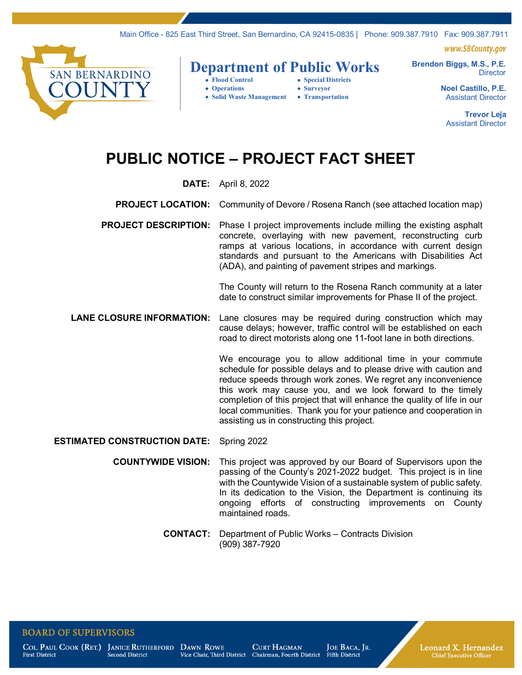Main Office - 825 East Third Street, San Bernardino, CA 92415-0835 | Phone: 909.387.7910 Fax: 909.387.7911

www.SBCountv.aov



# **Department of Public Works**

- 
- Special Districts • **Operations** • **Surveyor**
- • **Solid Waste Management** • **Transportation**

**Director Noel Castillo, P.E.**

**Brendon Biggs, M.S., P.E.**

Assistant Director

**Trevor Leja** Assistant Director

## **PUBLIC NOTICE – PROJECT FACT SHEET**

#### **DATE:** April 8, 2022

- **PROJECT LOCATION:** Community of Devore / Rosena Ranch (see attached location map)
- **PROJECT DESCRIPTION:** Phase I project improvements include milling the existing asphalt concrete, overlaying with new pavement, reconstructing curb ramps at various locations, in accordance with current design standards and pursuant to the Americans with Disabilities Act (ADA), and painting of pavement stripes and markings.

The County will return to the Rosena Ranch community at a later date to construct similar improvements for Phase II of the project.

**LANE CLOSURE INFORMATION:** Lane closures may be required during construction which may cause delays; however, traffic control will be established on each road to direct motorists along one 11-foot lane in both directions.

> We encourage you to allow additional time in your commute schedule for possible delays and to please drive with caution and reduce speeds through work zones. We regret any inconvenience this work may cause you, and we look forward to the timely completion of this project that will enhance the quality of life in our local communities. Thank you for your patience and cooperation in assisting us in constructing this project.

#### **ESTIMATED CONSTRUCTION DATE:** Spring 2022

- **COUNTYWIDE VISION:** This project was approved by our Board of Supervisors upon the passing of the County's 2021-2022 budget. This project is in line with the Countywide Vision of a sustainable system of public safety. In its dedication to the Vision, the Department is continuing its ongoing efforts of constructing improvements on County maintained roads.
	- **CONTACT:** Department of Public Works Contracts Division (909) 387-7920

#### **BOARD OF SUPERVISORS**

**First District** 

COL. PAUL COOK (RET.) JANICE RUTHERFORD Second District

DAWN ROWE

**CURT HAGMAN** Vice Chair, Third District Chairman, Fourth District

JOE BACA, JR. Fifth District

Leonard X. Hernandez **Chief Executive Officer**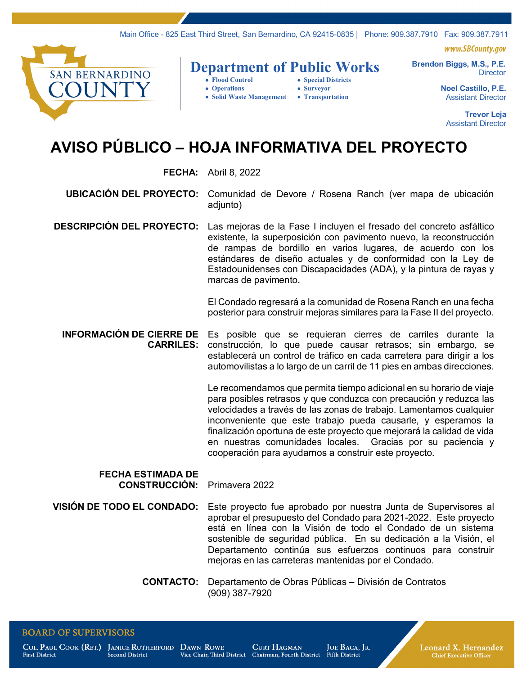Main Office - 825 East Third Street, San Bernardino, CA 92415-0835 | Phone: 909.387.7910 Fax: 909.387.7911

www.SBCountv.aov



### **Department of Public Works**

- • **Flood Control** • **Special Districts**
- • **Operations** • **Surveyor**
- • **Solid Waste Management** • **Transportation**

**Director Noel Castillo, P.E.**

**Brendon Biggs, M.S., P.E.**

Assistant Director

**Trevor Leja** Assistant Director

# **AVISO PÚBLICO – HOJA INFORMATIVA DEL PROYECTO**

#### **FECHA:** Abril 8, 2022

**UBICACIÓN DEL PROYECTO:** Comunidad de Devore / Rosena Ranch (ver mapa de ubicación adiunto)

**DESCRIPCIÓN DEL PROYECTO:** Las mejoras de la Fase I incluyen el fresado del concreto asfáltico existente, la superposición con pavimento nuevo, la reconstrucción de rampas de bordillo en varios lugares, de acuerdo con los estándares de diseño actuales y de conformidad con la Ley de Estadounidenses con Discapacidades (ADA), y la pintura de rayas y marcas de pavimento.

> El Condado regresará a la comunidad de Rosena Ranch en una fecha posterior para construir mejoras similares para la Fase II del proyecto.

**INFORMACIÓN DE CIERRE DE CARRILES:** Es posible que se requieran cierres de carriles durante la construcción, lo que puede causar retrasos; sin embargo, se establecerá un control de tráfico en cada carretera para dirigir a los automovilistas a lo largo de un carril de 11 pies en ambas direcciones.

> Le recomendamos que permita tiempo adicional en su horario de viaje para posibles retrasos y que conduzca con precaución y reduzca las velocidades a través de las zonas de trabajo. Lamentamos cualquier inconveniente que este trabajo pueda causarle, y esperamos la finalización oportuna de este proyecto que mejorará la calidad de vida en nuestras comunidades locales. Gracias por su paciencia y cooperación para ayudarnos a construir este proyecto.

#### **FECHA ESTIMADA DE CONSTRUCCIÓN:** Primavera 2022

**VISIÓN DE TODO EL CONDADO:** Este proyecto fue aprobado por nuestra Junta de Supervisores al aprobar el presupuesto del Condado para 2021-2022. Este proyecto está en línea con la Visión de todo el Condado de un sistema sostenible de seguridad pública. En su dedicación a la Visión, el Departamento continúa sus esfuerzos continuos para construir mejoras en las carreteras mantenidas por el Condado.

> **CONTACTO:** Departamento de Obras Públicas – División de Contratos (909) 387-7920

#### **BOARD OF SUPERVISORS**

**First District** 

COL. PAUL COOK (RET.) JANICE RUTHERFORD DAWN ROWE Second District

**CURT HAGMAN** Vice Chair, Third District Chairman, Fourth District

JOE BACA, JR. Fifth District

Leonard X. Hernandez

**Chief Executive Officer**